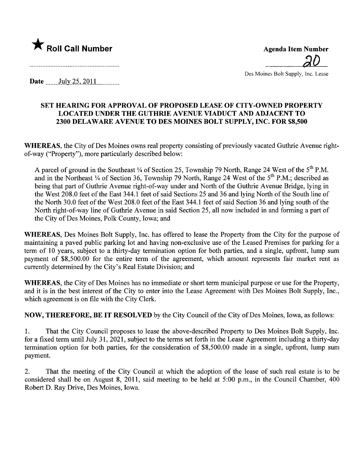



Des Moines Bolt Supply, Inc. Lease

Date  $\qquad \text{July }25, 2011$ 

## SET HEARING FOR APPROVAL OF PROPOSED LEASE OF CITY -OWNED PROPERTY LOCATED UNDER THE GUTHRIE AVENUE VIADUCT AND ADJACENT TO 2300 DELAWARE AVENUE TO DES MOINES BOLT SUPPLY, INC. FOR \$8,500

WHEREAS, the City of Des Moines owns real property consisting of previously vacated Guthrie Avenue rightof-way ("Property"), more particularly described below:

A parcel of ground in the Southeast 1/4 of Section 25, Township 79 North, Range 24 West of the 5<sup>th</sup> P.M. and in the Northeast 1/4 of Section 36, Township 79 North, Range 24 West of the 5<sup>th</sup> P.M.; described as being that part of Guthrie Avenue right-of-way under and North of the Guthrie Avenue Bridge, lying in the West 208.0 feet of the East 344.1 feet of said Sections 25 and 36 and lying North of the South line of the North 30.0 feet of the West 208.0 feet of the East 344.1 feet of said Section 36 and lying south of the North right-of-way line of Guthrie Avenue in said Section 25, all now included in and forming a part of the City of Des Moines, Polk County, Iowa; and

WHEREAS, Des Moines Bolt Supply, Inc. has offered to lease the Property from the City for the purpose of maintaining a paved public parking lot and having non-exclusive use of the Leased Premises for parking for a term of 10 years, subject to a thirty-day termination option for both paries, and a single, upfront, lump sum payment of \$8,500.00 for the entire term of the agreement, which amount represents fair market rent as currently determined by the City's Real Estate Division; and

WHEREAS, the City of Des Moines has no immediate or short term municipal purpose or use for the Property, and it is in the best interest of the City to enter into the Lease Agreement with Des Moines Bolt Supply, Inc., which agreement is on file with the City Clerk.

NOW, THEREFORE, BE IT RESOLVED by the City Council of the City of Des Moines, Iowa, as follows:

1. That the City Council proposes to lease the above-described Property to Des Moines Bolt Supply, Inc. for a fixed term until July 31, 2021, subject to the terms set forth in the Lease Agreement including a thirty-day termination option for both paries, for the consideration of \$8,500.00 made in a single, upfront, lump sum payment.

2. That the meeting of the City Council at which the adoption of the lease of such real estate is to be considered shall be on August 8, 2011, said meeting to be held at 5:00 p.m., in the Council Chamber, 400 Robert D. Ray Drive, Des Moines, Iowa.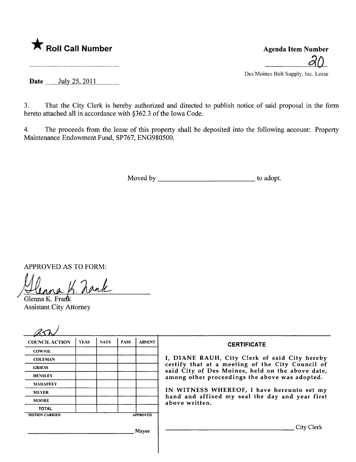

 $d0$ Des Moines Bolt Supply, Inc. Lease

Date  $\frac{\text{July }25,2011}{\text{July }25,2011}$ 

3. That the City Clerk is hereby authorized and directed to publish notice of said proposal in the form hereto attached all in accordance with §362.3 of the Iowa Code.

4. The proceeds from the lease of this property shall be deposited into the following account: Property Maintenance Endowment Fund, SP767, ENG980500.

Moved by to adopt.

APPROVED AS TO FORM:

 $K$  hank

Glenna K. Frank Assistant City Attorney

| <b>COUNCIL ACTION</b>                    | <b>YEAS</b> | <b>NAYS</b> | <b>PASS</b> | <b>ABSENT</b> | <b>CERTIFICATE</b>                                                                                                                                     |  |
|------------------------------------------|-------------|-------------|-------------|---------------|--------------------------------------------------------------------------------------------------------------------------------------------------------|--|
| <b>COWNIE</b>                            |             |             |             |               | I, DIANE RAUH, City Clerk of said City hereby                                                                                                          |  |
| <b>COLEMAN</b>                           |             |             |             |               |                                                                                                                                                        |  |
| <b>GRIESS</b>                            |             |             |             |               | certify that at a meeting of the City Council of<br>said City of Des Moines, held on the above date,<br>among other proceedings the above was adopted. |  |
| <b>HENSLEY</b>                           |             |             |             |               |                                                                                                                                                        |  |
| <b>MAHAFFEY</b>                          |             |             |             |               | IN WITNESS WHEREOF, I have hereunto set my<br>hand and affixed my seal the day and year first<br>above written.                                        |  |
| <b>MEYER</b>                             |             |             |             |               |                                                                                                                                                        |  |
| <b>MOORE</b>                             |             |             |             |               |                                                                                                                                                        |  |
| <b>TOTAL</b>                             |             |             |             |               |                                                                                                                                                        |  |
| <b>APPROVED</b><br><b>MOTION CARRIED</b> |             |             |             |               |                                                                                                                                                        |  |
| Mayor                                    |             |             |             |               | City Clerk                                                                                                                                             |  |